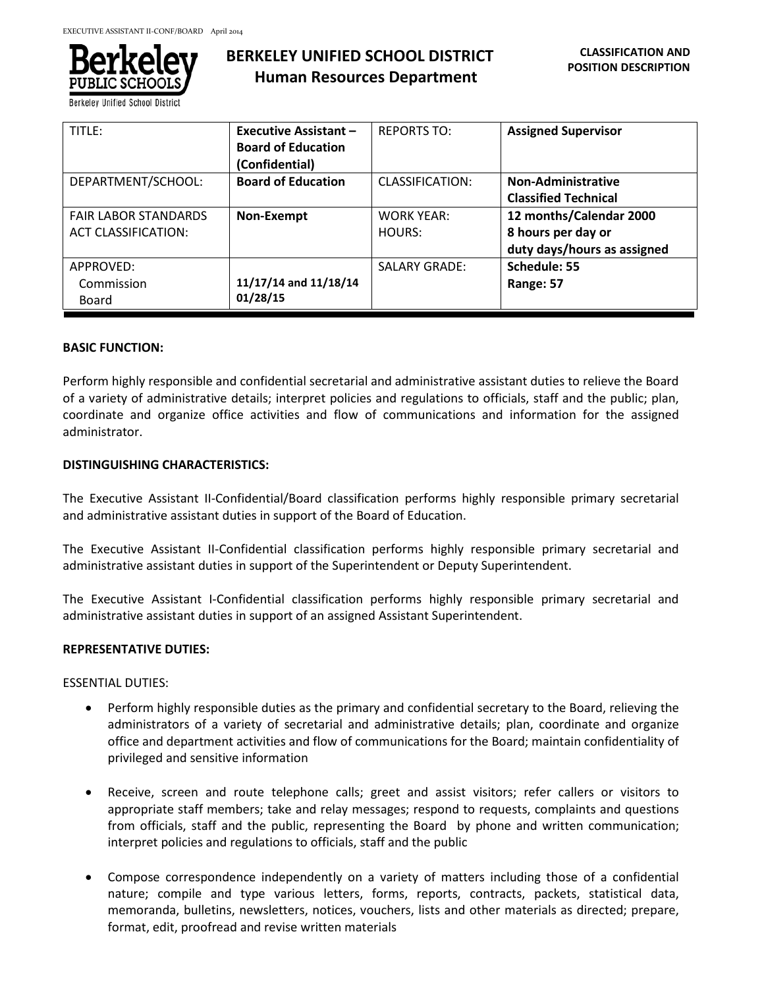

**Berkeley Unified School** 

| TITLE:                                                    | <b>Executive Assistant -</b><br><b>Board of Education</b><br>(Confidential) | <b>REPORTS TO:</b>          | <b>Assigned Supervisor</b>                                                   |
|-----------------------------------------------------------|-----------------------------------------------------------------------------|-----------------------------|------------------------------------------------------------------------------|
| DEPARTMENT/SCHOOL:                                        | <b>Board of Education</b>                                                   | CLASSIFICATION:             | Non-Administrative<br><b>Classified Technical</b>                            |
| <b>FAIR LABOR STANDARDS</b><br><b>ACT CLASSIFICATION:</b> | Non-Exempt                                                                  | <b>WORK YEAR:</b><br>HOURS: | 12 months/Calendar 2000<br>8 hours per day or<br>duty days/hours as assigned |
| APPROVED:<br>Commission<br>Board                          | 11/17/14 and 11/18/14<br>01/28/15                                           | <b>SALARY GRADE:</b>        | Schedule: 55<br>Range: 57                                                    |

#### **BASIC FUNCTION:**

Perform highly responsible and confidential secretarial and administrative assistant duties to relieve the Board of a variety of administrative details; interpret policies and regulations to officials, staff and the public; plan, coordinate and organize office activities and flow of communications and information for the assigned administrator.

# **DISTINGUISHING CHARACTERISTICS:**

The Executive Assistant II-Confidential/Board classification performs highly responsible primary secretarial and administrative assistant duties in support of the Board of Education.

The Executive Assistant II-Confidential classification performs highly responsible primary secretarial and administrative assistant duties in support of the Superintendent or Deputy Superintendent.

The Executive Assistant I-Confidential classification performs highly responsible primary secretarial and administrative assistant duties in support of an assigned Assistant Superintendent.

# **REPRESENTATIVE DUTIES:**

ESSENTIAL DUTIES:

- Perform highly responsible duties as the primary and confidential secretary to the Board, relieving the administrators of a variety of secretarial and administrative details; plan, coordinate and organize office and department activities and flow of communications for the Board; maintain confidentiality of privileged and sensitive information
- Receive, screen and route telephone calls; greet and assist visitors; refer callers or visitors to appropriate staff members; take and relay messages; respond to requests, complaints and questions from officials, staff and the public, representing the Board by phone and written communication; interpret policies and regulations to officials, staff and the public
- Compose correspondence independently on a variety of matters including those of a confidential nature; compile and type various letters, forms, reports, contracts, packets, statistical data, memoranda, bulletins, newsletters, notices, vouchers, lists and other materials as directed; prepare, format, edit, proofread and revise written materials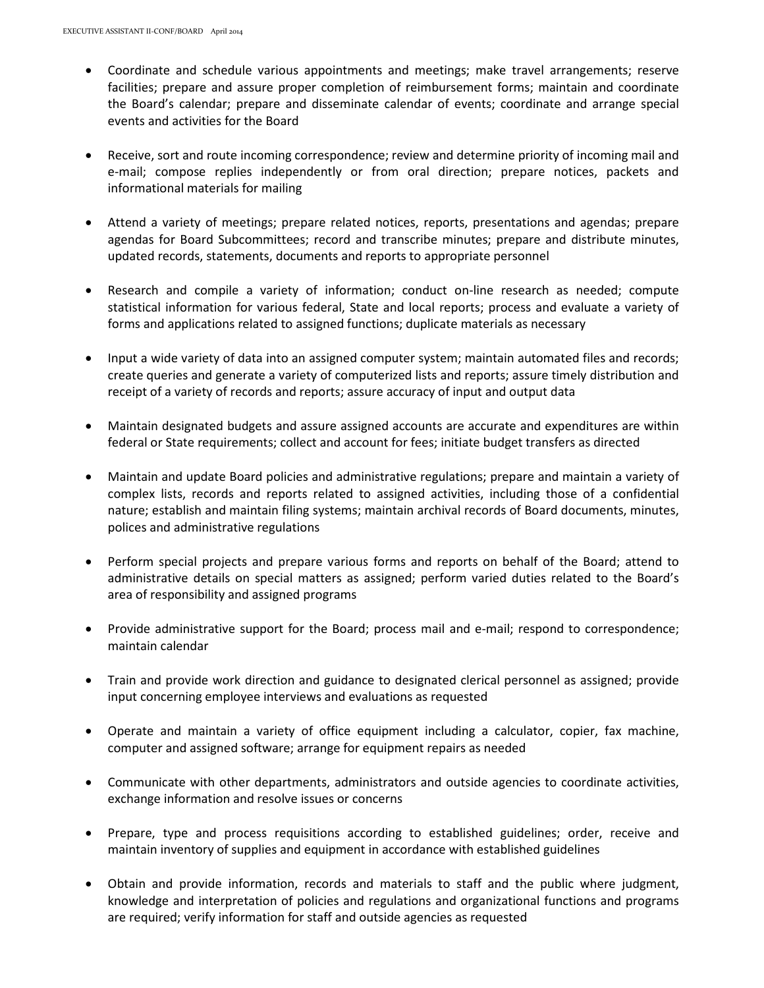- Coordinate and schedule various appointments and meetings; make travel arrangements; reserve facilities; prepare and assure proper completion of reimbursement forms; maintain and coordinate the Board's calendar; prepare and disseminate calendar of events; coordinate and arrange special events and activities for the Board
- Receive, sort and route incoming correspondence; review and determine priority of incoming mail and e-mail; compose replies independently or from oral direction; prepare notices, packets and informational materials for mailing
- Attend a variety of meetings; prepare related notices, reports, presentations and agendas; prepare agendas for Board Subcommittees; record and transcribe minutes; prepare and distribute minutes, updated records, statements, documents and reports to appropriate personnel
- Research and compile a variety of information; conduct on-line research as needed; compute statistical information for various federal, State and local reports; process and evaluate a variety of forms and applications related to assigned functions; duplicate materials as necessary
- Input a wide variety of data into an assigned computer system; maintain automated files and records; create queries and generate a variety of computerized lists and reports; assure timely distribution and receipt of a variety of records and reports; assure accuracy of input and output data
- Maintain designated budgets and assure assigned accounts are accurate and expenditures are within federal or State requirements; collect and account for fees; initiate budget transfers as directed
- Maintain and update Board policies and administrative regulations; prepare and maintain a variety of complex lists, records and reports related to assigned activities, including those of a confidential nature; establish and maintain filing systems; maintain archival records of Board documents, minutes, polices and administrative regulations
- Perform special projects and prepare various forms and reports on behalf of the Board; attend to administrative details on special matters as assigned; perform varied duties related to the Board's area of responsibility and assigned programs
- Provide administrative support for the Board; process mail and e-mail; respond to correspondence; maintain calendar
- Train and provide work direction and guidance to designated clerical personnel as assigned; provide input concerning employee interviews and evaluations as requested
- Operate and maintain a variety of office equipment including a calculator, copier, fax machine, computer and assigned software; arrange for equipment repairs as needed
- Communicate with other departments, administrators and outside agencies to coordinate activities, exchange information and resolve issues or concerns
- Prepare, type and process requisitions according to established guidelines; order, receive and maintain inventory of supplies and equipment in accordance with established guidelines
- Obtain and provide information, records and materials to staff and the public where judgment, knowledge and interpretation of policies and regulations and organizational functions and programs are required; verify information for staff and outside agencies as requested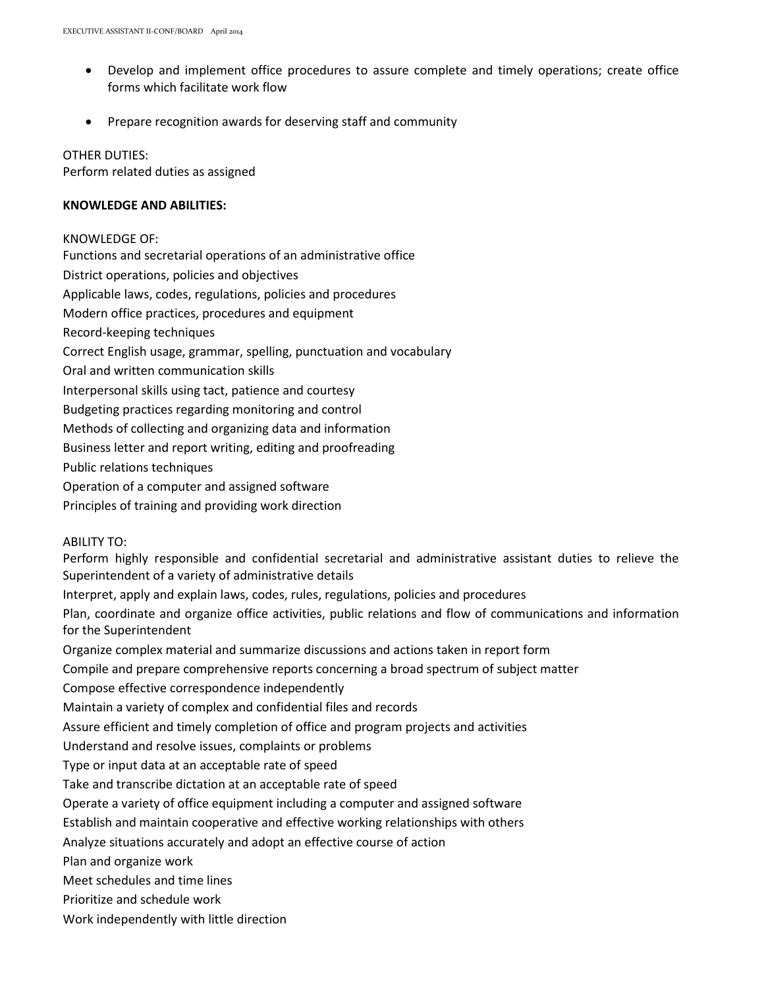- Develop and implement office procedures to assure complete and timely operations; create office forms which facilitate work flow
- Prepare recognition awards for deserving staff and community

# OTHER DUTIES:

Perform related duties as assigned

### **KNOWLEDGE AND ABILITIES:**

#### KNOWLEDGE OF:

Functions and secretarial operations of an administrative office District operations, policies and objectives Applicable laws, codes, regulations, policies and procedures Modern office practices, procedures and equipment Record-keeping techniques Correct English usage, grammar, spelling, punctuation and vocabulary Oral and written communication skills Interpersonal skills using tact, patience and courtesy Budgeting practices regarding monitoring and control Methods of collecting and organizing data and information Business letter and report writing, editing and proofreading Public relations techniques Operation of a computer and assigned software Principles of training and providing work direction

ABILITY TO:

Perform highly responsible and confidential secretarial and administrative assistant duties to relieve the Superintendent of a variety of administrative details Interpret, apply and explain laws, codes, rules, regulations, policies and procedures Plan, coordinate and organize office activities, public relations and flow of communications and information for the Superintendent Organize complex material and summarize discussions and actions taken in report form Compile and prepare comprehensive reports concerning a broad spectrum of subject matter Compose effective correspondence independently Maintain a variety of complex and confidential files and records Assure efficient and timely completion of office and program projects and activities Understand and resolve issues, complaints or problems Type or input data at an acceptable rate of speed Take and transcribe dictation at an acceptable rate of speed Operate a variety of office equipment including a computer and assigned software Establish and maintain cooperative and effective working relationships with others Analyze situations accurately and adopt an effective course of action Plan and organize work Meet schedules and time lines Prioritize and schedule work Work independently with little direction